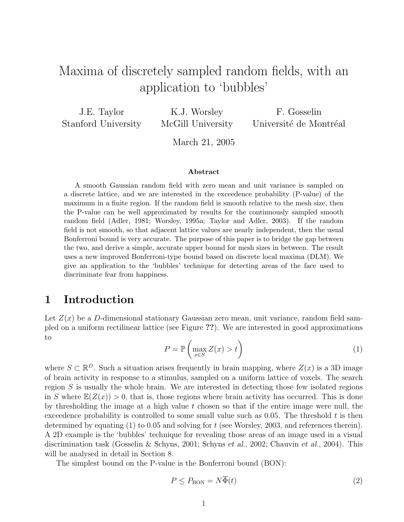# Maxima of discretely sampled random fields, with an application to 'bubbles'

J.E. Taylor Stanford University

K.J. Worsley McGill University

F. Gosselin Université de Montréal

March 21, 2005

#### Abstract

A smooth Gaussian random field with zero mean and unit variance is sampled on a discrete lattice, and we are interested in the exceedence probability (P-value) of the maximum in a finite region. If the random field is smooth relative to the mesh size, then the P-value can be well approximated by results for the continuously sampled smooth random field (Adler, 1981; Worsley, 1995a; Taylor and Adler, 2003). If the random field is not smooth, so that adjacent lattice values are nearly independent, then the usual Bonferroni bound is very accurate. The purpose of this paper is to bridge the gap between the two, and derive a simple, accurate upper bound for mesh sizes in between. The result uses a new improved Bonferroni-type bound based on discrete local maxima (DLM). We give an application to the 'bubbles' technique for detecting areas of the face used to discriminate fear from happiness.

#### 1 Introduction

Let  $Z(x)$  be a D-dimensional stationary Gaussian zero mean, unit variance, random field sampled on a uniform rectilinear lattice (see Figure ??). We are interested in good approximations to  $\overline{a}$ 

$$
P = \mathbb{P}\left(\max_{x \in S} Z(x) > t\right)
$$
 (1)

where  $S \subset \mathbb{R}^D$ . Such a situation arises frequently in brain mapping, where  $Z(x)$  is a 3D image of brain activity in response to a stimulus, sampled on a uniform lattice of voxels. The search region  $S$  is usually the whole brain. We are interested in detecting those few isolated regions in S where  $\mathbb{E}(Z(x)) > 0$ , that is, those regions where brain activity has occurred. This is done by thresholding the image at a high value t chosen so that if the entire image were null, the exceedence probability is controlled to some small value such as 0.05. The threshold  $t$  is then determined by equating  $(1)$  to 0.05 and solving for t (see Worsley, 2003, and references therein). A 2D example is the 'bubbles' technique for revealing those areas of an image used in a visual discrimination task (Gosselin & Schyns, 2001; Schyns et al., 2002; Chauvin et al., 2004). This will be analysed in detail in Section 8.

The simplest bound on the P-value is the Bonferroni bound (BON):

$$
P \le P_{\text{BON}} = N\overline{\Phi}(t) \tag{2}
$$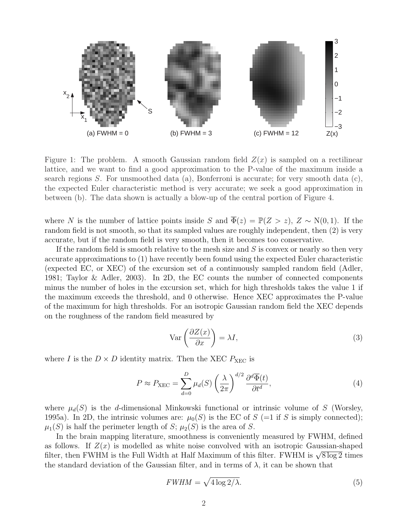

Figure 1: The problem. A smooth Gaussian random field  $Z(x)$  is sampled on a rectilinear lattice, and we want to find a good approximation to the P-value of the maximum inside a search regions S. For unsmoothed data (a), Bonferroni is accurate; for very smooth data (c), the expected Euler characteristic method is very accurate; we seek a good approximation in between (b). The data shown is actually a blow-up of the central portion of Figure 4.

where N is the number of lattice points inside S and  $\overline{\Phi}(z) = \mathbb{P}(Z > z)$ ,  $Z \sim N(0, 1)$ . If the random field is not smooth, so that its sampled values are roughly independent, then (2) is very accurate, but if the random field is very smooth, then it becomes too conservative.

If the random field is smooth relative to the mesh size and  $S$  is convex or nearly so then very accurate approximations to (1) have recently been found using the expected Euler characteristic (expected EC, or XEC) of the excursion set of a continuously sampled random field (Adler, 1981; Taylor & Adler, 2003). In 2D, the EC counts the number of connected components minus the number of holes in the excursion set, which for high thresholds takes the value 1 if the maximum exceeds the threshold, and 0 otherwise. Hence XEC approximates the P-value of the maximum for high thresholds. For an isotropic Gaussian random field the XEC depends on the roughness of the random field measured by

$$
\operatorname{Var}\left(\frac{\partial Z(x)}{\partial x}\right) = \lambda I,\tag{3}
$$

where I is the  $D \times D$  identity matrix. Then the XEC  $P_{\text{XEC}}$  is

$$
P \approx P_{\text{XEC}} = \sum_{d=0}^{D} \mu_d(S) \left(\frac{\lambda}{2\pi}\right)^{d/2} \frac{\partial^d \overline{\Phi}(t)}{\partial t^d},\tag{4}
$$

where  $\mu_d(S)$  is the d-dimensional Minkowski functional or intrinsic volume of S (Worsley, 1995a). In 2D, the intrinsic volumes are:  $\mu_0(S)$  is the EC of S (=1 if S is simply connected);  $\mu_1(S)$  is half the perimeter length of S;  $\mu_2(S)$  is the area of S.

In the brain mapping literature, smoothness is conveniently measured by FWHM, defined as follows. If  $Z(x)$  is modelled as white noise convolved with an isotropic Gaussian-shaped as ionows. If  $Z(x)$  is modelied as white holse convolved with an isotropic Gaussian-shaped<br>filter, then FWHM is the Full Width at Half Maximum of this filter. FWHM is √8log2 times the standard deviation of the Gaussian filter, and in terms of  $\lambda$ , it can be shown that

$$
FWHM = \sqrt{4\log 2/\lambda}.\tag{5}
$$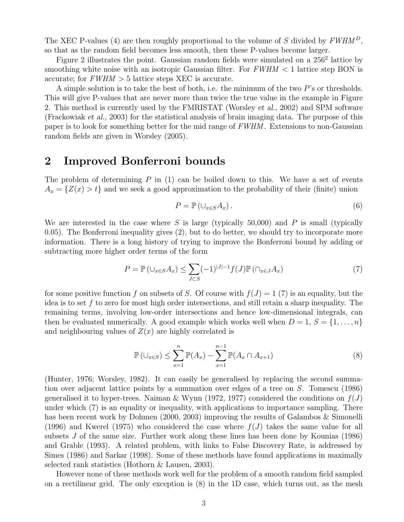The XEC P-values (4) are then roughly proportional to the volume of S divided by  $FWHM<sup>D</sup>$ , so that as the random field becomes less smooth, then these P-values become larger.

Figure 2 illustrates the point. Gaussian random fields were simulated on a  $256^2$  lattice by smoothing white noise with an isotropic Gaussian filter. For  $FWHM < 1$  lattice step BON is accurate; for  $FWHM > 5$  lattice steps XEC is accurate.

A simple solution is to take the best of both, i.e. the minimum of the two P's or thresholds. This will give P-values that are never more than twice the true value in the example in Figure 2. This method is currently used by the FMRISTAT (Worsley et al., 2002) and SPM software (Frackowiak et al., 2003) for the statistical analysis of brain imaging data. The purpose of this paper is to look for something better for the mid range of FWHM . Extensions to non-Gaussian random fields are given in Worsley (2005).

#### 2 Improved Bonferroni bounds

The problem of determining  $P$  in (1) can be boiled down to this. We have a set of events  $A_x = \{Z(x) > t\}$  and we seek a good approximation to the probability of their (finite) union

$$
P = \mathbb{P}\left(\cup_{x \in S} A_x\right). \tag{6}
$$

We are interested in the case where S is large (typically 50,000) and P is small (typically 0.05). The Bonferroni inequality gives (2), but to do better, we should try to incorporate more information. There is a long history of trying to improve the Bonferroni bound by adding or subtracting more higher order terms of the form

$$
P = \mathbb{P}\left(\bigcup_{x \in S} A_x\right) \le \sum_{J \subset S} (-1)^{|J|-1} f(J) \mathbb{P}\left(\bigcap_{x \in J} A_x\right) \tag{7}
$$

for some positive function f on subsets of S. Of course with  $f(J) = 1$  (7) is an equality, but the idea is to set f to zero for most high order intersections, and still retain a sharp inequality. The remaining terms, involving low-order intersections and hence low-dimensional integrals, can then be evaluated numerically. A good example which works well when  $D = 1, S = \{1, \ldots, n\}$ and neighbouring values of  $Z(x)$  are highly correlated is

$$
\mathbb{P}\left(\bigcup_{x\in S}\right) \leq \sum_{x=1}^{n} \mathbb{P}(A_x) - \sum_{x=1}^{n-1} \mathbb{P}(A_x \cap A_{x+1})\tag{8}
$$

(Hunter, 1976; Worsley, 1982). It can easily be generalised by replacing the second summation over adjacent lattice points by a summation over edges of a tree on S. Tomescu (1986) generalised it to hyper-trees. Naiman & Wynn (1972, 1977) considered the conditions on  $f(J)$ under which (7) is an equality or inequality, with applications to importance sampling. There has been recent work by Dohmen (2000, 2003) improving the results of Galambos & Simonelli (1996) and Kwerel (1975) who considered the case where  $f(J)$  takes the same value for all subsets J of the same size. Further work along these lines has been done by Kounias (1986) and Grable (1993). A related problem, with links to False Discovery Rate, is addressed by Simes (1986) and Sarkar (1998). Some of these methods have found applications in maximally selected rank statistics (Hothorn & Lausen, 2003).

However none of these methods work well for the problem of a smooth random field sampled on a rectilinear grid. The only exception is (8) in the 1D case, which turns out, as the mesh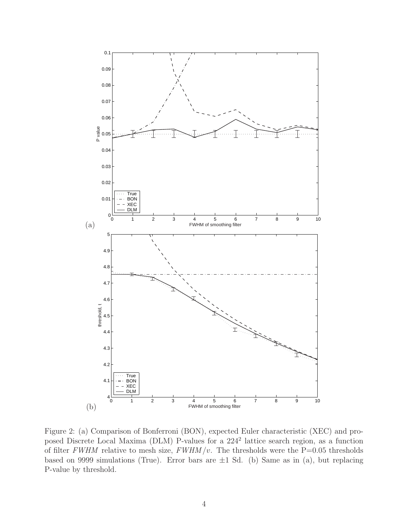

Figure 2: (a) Comparison of Bonferroni (BON), expected Euler characteristic (XEC) and proposed Discrete Local Maxima (DLM) P-values for a 224<sup>2</sup> lattice search region, as a function of filter FWHM relative to mesh size,  $FWHM/v$ . The thresholds were the P=0.05 thresholds based on 9999 simulations (True). Error bars are  $\pm 1$  Sd. (b) Same as in (a), but replacing P-value by threshold.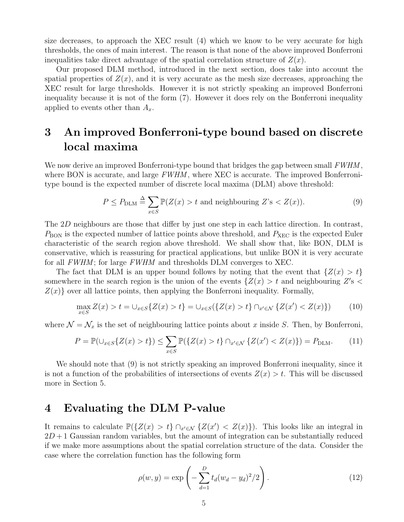size decreases, to approach the XEC result (4) which we know to be very accurate for high thresholds, the ones of main interest. The reason is that none of the above improved Bonferroni inequalities take direct advantage of the spatial correlation structure of  $Z(x)$ .

Our proposed DLM method, introduced in the next section, does take into account the spatial properties of  $Z(x)$ , and it is very accurate as the mesh size decreases, approaching the XEC result for large thresholds. However it is not strictly speaking an improved Bonferroni inequality because it is not of the form (7). However it does rely on the Bonferroni inequality applied to events other than  $A_x$ .

## 3 An improved Bonferroni-type bound based on discrete local maxima

We now derive an improved Bonferroni-type bound that bridges the gap between small  $FWHM$ , where BON is accurate, and large  $FWHM$ , where XEC is accurate. The improved Bonferronitype bound is the expected number of discrete local maxima (DLM) above threshold:

$$
P \le P_{\text{DLM}} \stackrel{\Delta}{=} \sum_{x \in S} \mathbb{P}(Z(x) > t \text{ and neighbouring } Z\text{'s} < Z(x)).\tag{9}
$$

The 2D neighbours are those that differ by just one step in each lattice direction. In contrast,  $P_{\text{BON}}$  is the expected number of lattice points above threshold, and  $P_{\text{XEC}}$  is the expected Euler characteristic of the search region above threshold. We shall show that, like BON, DLM is conservative, which is reassuring for practical applications, but unlike BON it is very accurate for all FWHM; for large FWHM and thresholds DLM converges to XEC.

The fact that DLM is an upper bound follows by noting that the event that  $\{Z(x) > t\}$ somewhere in the search region is the union of the events  $\{Z(x) > t \text{ and neighbouring } Z's <$  $Z(x)$  over all lattice points, then applying the Bonferroni inequality. Formally,

$$
\max_{x \in S} Z(x) > t = \bigcup_{x \in S} \{ Z(x) > t \} = \bigcup_{x \in S} (\{ Z(x) > t \} \cap_{x' \in \mathcal{N}} \{ Z(x') < Z(x) \}) \tag{10}
$$

where  $\mathcal{N} = \mathcal{N}_x$  is the set of neighbouring lattice points about x inside S. Then, by Bonferroni,

$$
P = \mathbb{P}(\bigcup_{x \in S} \{Z(x) > t\}) \le \sum_{x \in S} \mathbb{P}(\{Z(x) > t\} \cap_{x' \in \mathcal{N}} \{Z(x') < Z(x)\}) = P_{\text{DLM}}.\tag{11}
$$

We should note that  $(9)$  is not strictly speaking an improved Bonferroni inequality, since it is not a function of the probabilities of intersections of events  $Z(x) > t$ . This will be discussed more in Section 5.

### 4 Evaluating the DLM P-value

It remains to calculate  $\mathbb{P}(\{Z(x) > t\} \cap_{x' \in \mathcal{N}} \{Z(x') < Z(x)\})$ . This looks like an integral in  $2D+1$  Gaussian random variables, but the amount of integration can be substantially reduced if we make more assumptions about the spatial correlation structure of the data. Consider the case where the correlation function has the following form

$$
\rho(w, y) = \exp\left(-\sum_{d=1}^{D} t_d (w_d - y_d)^2 / 2\right).
$$
\n(12)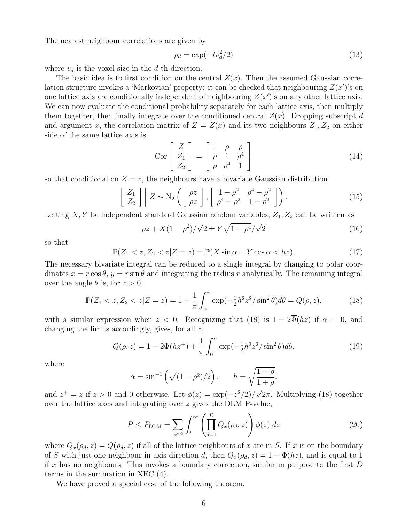The nearest neighbour correlations are given by

$$
\rho_d = \exp(-tv_d^2/2) \tag{13}
$$

where  $v_d$  is the voxel size in the d-th direction.

The basic idea is to first condition on the central  $Z(x)$ . Then the assumed Gaussian correlation structure invokes a 'Markovian' property: it can be checked that neighbouring  $Z(x')$ 's on one lattice axis are conditionally independent of neighbouring  $Z(x')$ 's on any other lattice axis. We can now evaluate the conditional probability separately for each lattice axis, then multiply them together, then finally integrate over the conditioned central  $Z(x)$ . Dropping subscript d and argument x, the correlation matrix of  $Z = Z(x)$  and its two neighbours  $Z_1, Z_2$  on either side of the same lattice axis is

$$
\text{Cor}\begin{bmatrix} Z \\ Z_1 \\ Z_2 \end{bmatrix} = \begin{bmatrix} 1 & \rho & \rho \\ \rho & 1 & \rho^4 \\ \rho & \rho^4 & 1 \end{bmatrix} \tag{14}
$$

so that conditional on  $Z = z$ , the neighbours have a bivariate Gaussian distribution

$$
\begin{bmatrix} Z_1 \\ Z_2 \end{bmatrix} Z \sim N_2 \left( \begin{bmatrix} \rho z \\ \rho z \end{bmatrix}, \begin{bmatrix} 1 - \rho^2 & \rho^4 - \rho^2 \\ \rho^4 - \rho^2 & 1 - \rho^2 \end{bmatrix} \right).
$$
 (15)

Letting  $X, Y$  be independent standard Gaussian random variables,  $Z_1, Z_2$  can be written as

$$
\rho z + X(1 - \rho^2) / \sqrt{2} \pm Y \sqrt{1 - \rho^4} / \sqrt{2}
$$
 (16)

so that

$$
\mathbb{P}(Z_1 < z, Z_2 < z | Z = z) = \mathbb{P}(X \sin \alpha \pm Y \cos \alpha < hz). \tag{17}
$$

The necessary bivariate integral can be reduced to a single integral by changing to polar coordinates  $x = r \cos \theta$ ,  $y = r \sin \theta$  and integrating the radius r analytically. The remaining integral over the angle  $\theta$  is, for  $z > 0$ ,

$$
\mathbb{P}(Z_1 < z, Z_2 < z | Z = z) = 1 - \frac{1}{\pi} \int_{\alpha}^{\pi} \exp(-\frac{1}{2}h^2 z^2 / \sin^2 \theta) d\theta = Q(\rho, z),\tag{18}
$$

with a similar expression when  $z < 0$ . Recognizing that (18) is  $1 - 2\overline{\Phi}(hz)$  if  $\alpha = 0$ , and changing the limits accordingly, gives, for all z,

$$
Q(\rho, z) = 1 - 2\overline{\Phi}(hz^{+}) + \frac{1}{\pi} \int_0^{\alpha} \exp(-\frac{1}{2}h^2z^2/\sin^2\theta)d\theta,
$$
 (19)

where

$$
\alpha = \sin^{-1}\left(\sqrt{(1-\rho^2)/2}\right), \qquad h = \sqrt{\frac{1-\rho}{1+\rho}}
$$

and  $z^+ = z$  if  $z > 0$  and 0 otherwise. Let  $\phi(z) = \exp(-z^2/2)$  $2\pi$ . Multiplying (18) together over the lattice axes and integrating over z gives the DLM P-value, !<br>}

$$
P \le P_{\text{DLM}} = \sum_{x \in S} \int_t^{\infty} \left( \prod_{d=1}^D Q_x(\rho_d, z) \right) \phi(z) dz \tag{20}
$$

.

where  $Q_x(\rho_d, z) = Q(\rho_d, z)$  if all of the lattice neighbours of x are in S. If x is on the boundary of S with just one neighbour in axis direction d, then  $Q_x(\rho_d, z) = 1 - \overline{\Phi}(hz)$ , and is equal to 1 if x has no neighbours. This invokes a boundary correction, similar in purpose to the first  $D$ terms in the summation in XEC (4).

We have proved a special case of the following theorem.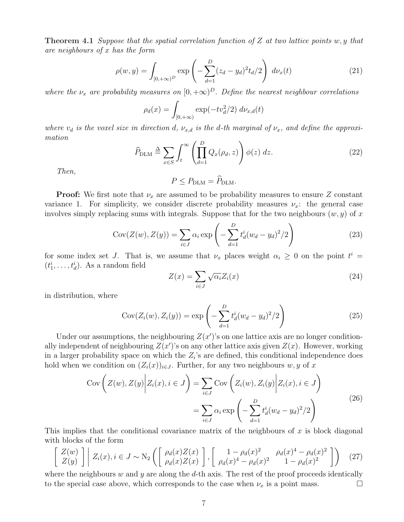**Theorem 4.1** Suppose that the spatial correlation function of Z at two lattice points w, y that are neighbours of x has the form

$$
\rho(w, y) = \int_{[0, +\infty)^D} \exp\left(-\sum_{d=1}^D (z_d - y_d)^2 t_d/2\right) d\nu_x(t)
$$
\n(21)

where the  $\nu_x$  are probability measures on  $[0, +\infty)^D$ . Define the nearest neighbour correlations

$$
\rho_d(x) = \int_{[0, +\infty)} \exp(-tv_d^2/2) \, dv_{x,d}(t)
$$

where  $v_d$  is the voxel size in direction d,  $\nu_{x,d}$  is the d-th marginal of  $\nu_x$ , and define the approximation !<br>!

$$
\widehat{P}_{\text{DLM}} \triangleq \sum_{x \in S} \int_t^{\infty} \left( \prod_{d=1}^D Q_x(\rho_d, z) \right) \phi(z) \, dz. \tag{22}
$$

Then,

$$
P \le P_{\text{DLM}} = \widehat{P}_{\text{DLM}}.
$$

**Proof:** We first note that  $\nu_x$  are assumed to be probability measures to ensure Z constant variance 1. For simplicity, we consider discrete probability measures  $\nu_x$ : the general case involves simply replacing sums with integrals. Suppose that for the two neighbours  $(w, y)$  of x

$$
Cov(Z(w), Z(y)) = \sum_{i \in J} \alpha_i \exp\left(-\sum_{d=1}^D t_d^i (w_d - y_d)^2/2\right)
$$
(23)

for some index set J. That is, we assume that  $\nu_x$  places weight  $\alpha_i \geq 0$  on the point  $t^i =$  $(t_1^i, \ldots, t_d^i)$ . As a random field

$$
Z(x) = \sum_{i \in J} \sqrt{\alpha_i} Z_i(x) \tag{24}
$$

in distribution, where

$$
Cov(Z_i(w), Z_i(y)) = \exp\left(-\sum_{d=1}^{D} t_d^i (w_d - y_d)^2 / 2\right)
$$
\n(25)

Under our assumptions, the neighbouring  $Z(x')$ 's on one lattice axis are no longer conditionally independent of neighbouring  $Z(x')$ 's on any other lattice axis given  $Z(x)$ . However, working in a larger probability space on which the  $Z_i$ 's are defined, this conditional independence does hold when we condition on  $(Z_i(x))_{i\in J}$ . Further, for any two neighbours w, y of x

$$
\text{Cov}\left(Z(w), Z(y) \middle| Z_i(x), i \in J\right) = \sum_{i \in J} \text{Cov}\left(Z_i(w), Z_i(y) \middle| Z_i(x), i \in J\right)
$$
\n
$$
= \sum_{i \in J} \alpha_i \exp\left(-\sum_{d=1}^D t_d^i (w_d - y_d)^2 / 2\right)
$$
\n(26)

This implies that the conditional covariance matrix of the neighbours of  $x$  is block diagonal with blocks of the form  $\overline{a}$ ·  $\overline{a}$ 

$$
\begin{bmatrix} Z(w) \\ Z(y) \end{bmatrix} Z_i(x), i \in J \sim N_2 \left( \begin{bmatrix} \rho_d(x) Z(x) \\ \rho_d(x) Z(x) \end{bmatrix}, \begin{bmatrix} 1 - \rho_d(x)^2 & \rho_d(x)^4 - \rho_d(x)^2 \\ \rho_d(x)^4 - \rho_d(x)^2 & 1 - \rho_d(x)^2 \end{bmatrix} \right) (27)
$$

where the neighbours w and y are along the d-th axis. The rest of the proof proceeds identically to the special case above, which corresponds to the case when  $\nu_x$  is a point mass.  $\Box$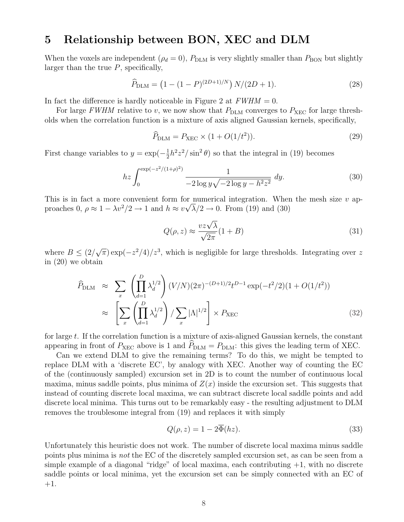#### 5 Relationship between BON, XEC and DLM

When the voxels are independent ( $\rho_d = 0$ ),  $P_{\text{DLM}}$  is very slightly smaller than  $P_{\text{BON}}$  but slightly larger than the true  $P$ , specifically,

$$
\widehat{P}_{\text{DLM}} = \left(1 - (1 - P)^{(2D+1)/N}\right) N/(2D+1). \tag{28}
$$

In fact the difference is hardly noticeable in Figure 2 at  $FWHM = 0$ .

For large FWHM relative to v, we now show that  $P_{\text{DLM}}$  converges to  $P_{\text{XEC}}$  for large thresholds when the correlation function is a mixture of axis aligned Gaussian kernels, specifically,

$$
\widehat{P}_{\text{DLM}} = P_{\text{XEC}} \times (1 + O(1/t^2)).\tag{29}
$$

First change variables to  $y = \exp(-\frac{1}{2})$  $\frac{1}{2}h^2z^2/\sin^2\theta$  so that the integral in (19) becomes

$$
hz \int_0^{\exp(-z^2/(1+\rho)^2)} \frac{1}{-2\log y \sqrt{-2\log y - h^2 z^2}} dy.
$$
 (30)

This is in fact a more convenient form for numerical integration. When the mesh size  $v$  approaches 0,  $\rho \approx 1 - \lambda v^2/2 \rightarrow 1$  and  $h \approx v \sqrt{\lambda}/2 \rightarrow 0$ . From (19) and (30)

$$
Q(\rho, z) \approx \frac{v z \sqrt{\lambda}}{\sqrt{2\pi}} (1 + B)
$$
\n(31)

where  $B \leq (2/$ √  $\overline{\pi}$ ) exp( $-z^2/4$ )/ $z^3$ , which is negligible for large thresholds. Integrating over z in (20) we obtain

$$
\hat{P}_{\text{DLM}} \approx \sum_{x} \left( \prod_{d=1}^{D} \lambda_d^{1/2} \right) (V/N)(2\pi)^{-(D+1)/2} t^{D-1} \exp(-t^2/2)(1 + O(1/t^2))
$$
\n
$$
\approx \left[ \sum_{x} \left( \prod_{d=1}^{D} \lambda_d^{1/2} \right) / \sum_{x} |\Lambda|^{1/2} \right] \times P_{\text{XEC}} \tag{32}
$$

for large  $t$ . If the correlation function is a mixture of axis-aligned Gaussian kernels, the constant appearing in front of  $P_{\text{XEC}}$  above is 1 and  $\hat{P}_{\text{DLM}} = P_{\text{DLM}}$ : this gives the leading term of XEC.

Can we extend DLM to give the remaining terms? To do this, we might be tempted to replace DLM with a 'discrete EC', by analogy with XEC. Another way of counting the EC of the (continuously sampled) excursion set in 2D is to count the number of continuous local maxima, minus saddle points, plus minima of  $Z(x)$  inside the excursion set. This suggests that instead of counting discrete local maxima, we can subtract discrete local saddle points and add discrete local minima. This turns out to be remarkably easy - the resulting adjustment to DLM removes the troublesome integral from (19) and replaces it with simply

$$
Q(\rho, z) = 1 - 2\overline{\Phi}(hz). \tag{33}
$$

Unfortunately this heuristic does not work. The number of discrete local maxima minus saddle points plus minima is not the EC of the discretely sampled excursion set, as can be seen from a simple example of a diagonal "ridge" of local maxima, each contributing  $+1$ , with no discrete saddle points or local minima, yet the excursion set can be simply connected with an EC of  $+1.$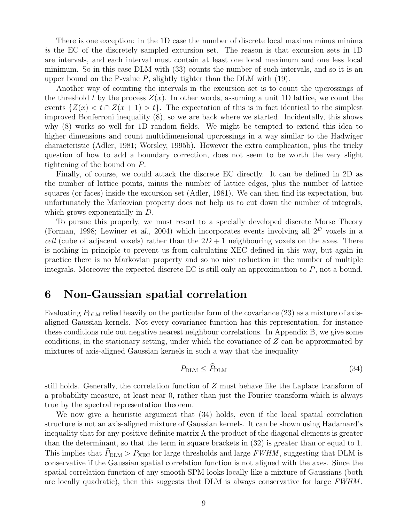There is one exception: in the 1D case the number of discrete local maxima minus minima is the EC of the discretely sampled excursion set. The reason is that excursion sets in 1D are intervals, and each interval must contain at least one local maximum and one less local minimum. So in this case DLM with (33) counts the number of such intervals, and so it is an upper bound on the P-value  $P$ , slightly tighter than the DLM with  $(19)$ .

Another way of counting the intervals in the excursion set is to count the upcrossings of the threshold t by the process  $Z(x)$ . In other words, assuming a unit 1D lattice, we count the events  $\{Z(x) < t \cap Z(x+1) > t\}$ . The expectation of this is in fact identical to the simplest improved Bonferroni inequality (8), so we are back where we started. Incidentally, this shows why (8) works so well for 1D random fields. We might be tempted to extend this idea to higher dimensions and count multidimensional upcrossings in a way similar to the Hadwiger characteristic (Adler, 1981; Worsley, 1995b). However the extra complication, plus the tricky question of how to add a boundary correction, does not seem to be worth the very slight tightening of the bound on P.

Finally, of course, we could attack the discrete EC directly. It can be defined in 2D as the number of lattice points, minus the number of lattice edges, plus the number of lattice squares (or faces) inside the excursion set (Adler, 1981). We can then find its expectation, but unfortunately the Markovian property does not help us to cut down the number of integrals, which grows exponentially in D.

To pursue this properly, we must resort to a specially developed discrete Morse Theory (Forman, 1998; Lewiner et al., 2004) which incorporates events involving all  $2^D$  voxels in a *cell* (cube of adjacent voxels) rather than the  $2D + 1$  neighbouring voxels on the axes. There is nothing in principle to prevent us from calculating XEC defined in this way, but again in practice there is no Markovian property and so no nice reduction in the number of multiple integrals. Moreover the expected discrete  $EC$  is still only an approximation to  $P$ , not a bound.

#### 6 Non-Gaussian spatial correlation

Evaluating  $P_{\text{DLM}}$  relied heavily on the particular form of the covariance (23) as a mixture of axisaligned Gaussian kernels. Not every covariance function has this representation, for instance these conditions rule out negative nearest neighbour correlations. In Appendix B, we give some conditions, in the stationary setting, under which the covariance of Z can be approximated by mixtures of axis-aligned Gaussian kernels in such a way that the inequality

$$
P_{\text{DLM}} \le \widehat{P}_{\text{DLM}} \tag{34}
$$

still holds. Generally, the correlation function of  $Z$  must behave like the Laplace transform of a probability measure, at least near 0, rather than just the Fourier transform which is always true by the spectral representation theorem.

We now give a heuristic argument that (34) holds, even if the local spatial correlation structure is not an axis-aligned mixture of Gaussian kernels. It can be shown using Hadamard's inequality that for any positive definite matrix  $\Lambda$  the product of the diagonal elements is greater than the determinant, so that the term in square brackets in (32) is greater than or equal to 1. This implies that  $P_{\text{DLM}} > P_{\text{XEC}}$  for large thresholds and large FWHM, suggesting that DLM is conservative if the Gaussian spatial correlation function is not aligned with the axes. Since the spatial correlation function of any smooth SPM looks locally like a mixture of Gaussians (both are locally quadratic), then this suggests that DLM is always conservative for large FWHM.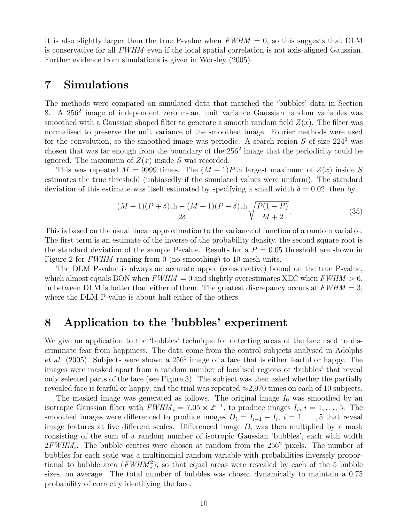It is also slightly larger than the true P-value when  $FWHM = 0$ , so this suggests that DLM is conservative for all FWHM even if the local spatial correlation is not axis-aligned Gaussian. Further evidence from simulations is given in Worsley (2005).

#### 7 Simulations

The methods were compared on simulated data that matched the 'bubbles' data in Section 8. A 256<sup>2</sup> image of independent zero mean, unit variance Gaussian random variables was smoothed with a Gaussian shaped filter to generate a smooth random field  $Z(x)$ . The filter was normalised to preserve the unit variance of the smoothed image. Fourier methods were used for the convolution, so the smoothed image was periodic. A search region S of size  $224^2$  was chosen that was far enough from the boundary of the 256<sup>2</sup> image that the periodicity could be ignored. The maximum of  $Z(x)$  inside S was recorded.

This was repeated  $M = 9999$  times. The  $(M + 1)P$ th largest maximum of  $Z(x)$  inside S estimates the true threshold (unbiasedly if the simulated values were uniform). The standard deviation of this estimate was itself estimated by specifying a small width  $\delta = 0.02$ , then by

$$
\frac{(M+1)(P+\delta)th - (M+1)(P-\delta)th}{2\delta} \sqrt{\frac{P(1-P)}{M+2}}.
$$
\n(35)

This is based on the usual linear approximation to the variance of function of a random variable. The first term is an estimate of the inverse of the probability density, the second square root is the standard deviation of the sample P-value. Results for a  $P = 0.05$  threshold are shown in Figure 2 for FWHM ranging from 0 (no smoothing) to 10 mesh units.

The DLM P-value is always an accurate upper (conservative) bound on the true P-value, which almost equals BON when  $FWHM = 0$  and slightly overestimates XEC when  $FWHM > 6$ . In between DLM is better than either of them. The greatest discrepancy occurs at  $FWHM = 3$ , where the DLM P-value is about half either of the others.

#### 8 Application to the 'bubbles' experiment

We give an application to the 'bubbles' technique for detecting areas of the face used to discriminate fear from happiness. The data come from the control subjects analysed in Adolphs et al.  $(2005)$ . Subjects were shown a  $256<sup>2</sup>$  image of a face that is either fearful or happy. The images were masked apart from a random number of localised regions or 'bubbles' that reveal only selected parts of the face (see Figure 3). The subject was then asked whether the partially revealed face is fearful or happy, and the trial was repeated  $\approx$ 2,970 times on each of 10 subjects.

The masked image was generated as follows. The original image  $I_0$  was smoothed by an isotropic Gaussian filter with  $FWHM_i = 7.05 \times 2^{i-1}$ , to produce images  $I_i$ ,  $i = 1, \ldots, 5$ . The smoothed images were differenced to produce images  $D_i = I_{i-1} - I_i$ ,  $i = 1, \ldots, 5$  that reveal image features at five different scales. Differenced image  $D_i$  was then multiplied by a mask consisting of the sum of a random number of isotropic Gaussian 'bubbles', each with width  $2FWHM<sub>i</sub>$ . The bubble centres were chosen at random from the  $256<sup>2</sup>$  pixels. The number of bubbles for each scale was a multinomial random variable with probabilities inversely proportional to bubble area  $(FWHM_i^2)$ , so that equal areas were revealed by each of the 5 bubble sizes, on average. The total number of bubbles was chosen dynamically to maintain a 0.75 probability of correctly identifying the face.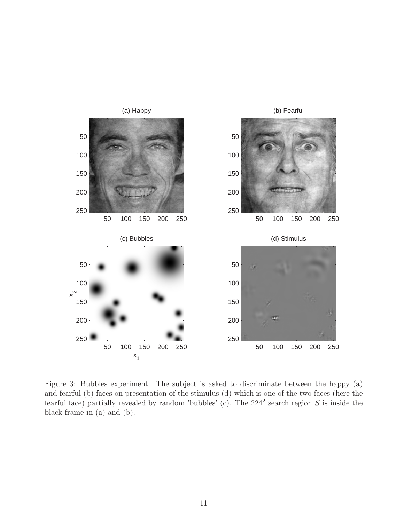

Figure 3: Bubbles experiment. The subject is asked to discriminate between the happy (a) and fearful (b) faces on presentation of the stimulus (d) which is one of the two faces (here the fearful face) partially revealed by random 'bubbles' (c). The  $224^2$  search region S is inside the black frame in (a) and (b).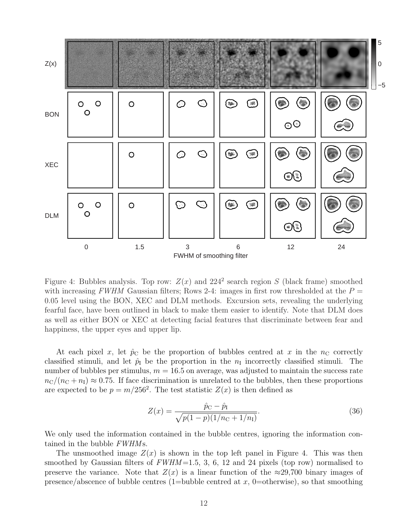

Figure 4: Bubbles analysis. Top row:  $Z(x)$  and  $224^2$  search region S (black frame) smoothed with increasing FWHM Gaussian filters; Rows 2-4: images in first row thresholded at the  $P =$ 0.05 level using the BON, XEC and DLM methods. Excursion sets, revealing the underlying fearful face, have been outlined in black to make them easier to identify. Note that DLM does as well as either BON or XEC at detecting facial features that discriminate between fear and happiness, the upper eyes and upper lip.

At each pixel x, let  $\hat{p}_C$  be the proportion of bubbles centred at x in the  $n_C$  correctly classified stimuli, and let  $\hat{p}_I$  be the proportion in the  $n_I$  incorrectly classified stimuli. The number of bubbles per stimulus,  $m = 16.5$  on average, was adjusted to maintain the success rate  $n_{\rm C}/(n_{\rm C} + n_{\rm I}) \approx 0.75$ . If face discrimination is unrelated to the bubbles, then these proportions are expected to be  $p = m/256^2$ . The test statistic  $Z(x)$  is then defined as

$$
Z(x) = \frac{\hat{p}_{\rm C} - \hat{p}_{\rm I}}{\sqrt{p(1-p)(1/n_{\rm C} + 1/n_{\rm I})}}.\tag{36}
$$

We only used the information contained in the bubble centres, ignoring the information contained in the bubble  $FWHMs$ .

The unsmoothed image  $Z(x)$  is shown in the top left panel in Figure 4. This was then smoothed by Gaussian filters of  $FWHM = 1.5, 3, 6, 12$  and 24 pixels (top row) normalised to preserve the variance. Note that  $Z(x)$  is a linear function of the  $\approx 29,700$  binary images of presence/abscence of bubble centres (1=bubble centred at  $x$ , 0=otherwise), so that smoothing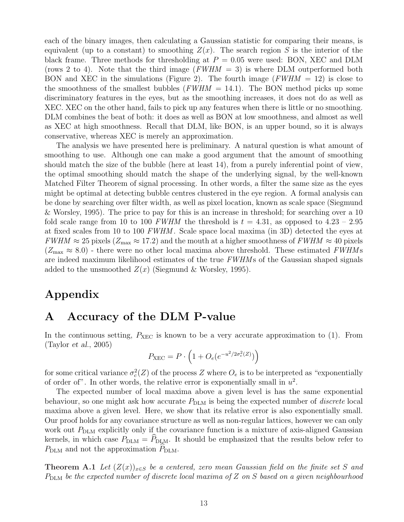each of the binary images, then calculating a Gaussian statistic for comparing their means, is equivalent (up to a constant) to smoothing  $Z(x)$ . The search region S is the interior of the black frame. Three methods for thresholding at  $P = 0.05$  were used: BON, XEC and DLM (rows 2 to 4). Note that the third image  $(FWHM = 3)$  is where DLM outperformed both BON and XEC in the simulations (Figure 2). The fourth image ( $FWHM = 12$ ) is close to the smoothness of the smallest bubbles ( $FWHM = 14.1$ ). The BON method picks up some discriminatory features in the eyes, but as the smoothing increases, it does not do as well as XEC. XEC on the other hand, fails to pick up any features when there is little or no smoothing. DLM combines the beat of both: it does as well as BON at low smoothness, and almost as well as XEC at high smoothness. Recall that DLM, like BON, is an upper bound, so it is always conservative, whereas XEC is merely an approximation.

The analysis we have presented here is preliminary. A natural question is what amount of smoothing to use. Although one can make a good argument that the amount of smoothing should match the size of the bubble (here at least 14), from a purely inferential point of view, the optimal smoothing should match the shape of the underlying signal, by the well-known Matched Filter Theorem of signal processing. In other words, a filter the same size as the eyes might be optimal at detecting bubble centres clustered in the eye region. A formal analysis can be done by searching over filter width, as well as pixel location, known as scale space (Siegmund & Worsley, 1995). The price to pay for this is an increase in threshold; for searching over a 10 fold scale range from 10 to 100 FWHM the threshold is  $t = 4.31$ , as opposed to  $4.23 - 2.95$ at fixed scales from 10 to 100 FWHM . Scale space local maxima (in 3D) detected the eyes at  $FWHM \approx 25$  pixels ( $Z_{\text{max}} \approx 17.2$ ) and the mouth at a higher smoothness of  $FWHM \approx 40$  pixels  $(Z_{\text{max}} \approx 8.0)$  - there were no other local maxima above threshold. These estimated FWHMs are indeed maximum likelihood estimates of the true  $FWHMs$  of the Gaussian shaped signals added to the unsmoothed  $Z(x)$  (Siegmund & Worsley, 1995).

### Appendix

#### A Accuracy of the DLM P-value

In the continuous setting,  $P_{\text{XEC}}$  is known to be a very accurate approximation to (1). From (Taylor et al., 2005)  $\overline{a}$ ´

$$
P_{\text{XEC}} = P \cdot \left( 1 + O_e(e^{-u^2/2\sigma_c^2(Z)}) \right)
$$

for some critical variance  $\sigma_c^2(Z)$  of the process Z where  $O_e$  is to be interpreted as "exponentially of order of". In other words, the relative error is exponentially small in  $u^2$ .

The expected number of local maxima above a given level is has the same exponential behaviour, so one might ask how accurate  $P_{\text{DLM}}$  is being the expected number of *discrete* local maxima above a given level. Here, we show that its relative error is also exponentially small. Our proof holds for any covariance structure as well as non-regular lattices, however we can only work out  $P_{\text{DLM}}$  explicitly only if the covariance function is a mixture of axis-aligned Gaussian kernels, in which case  $P_{\text{DLM}} = \hat{P}_{\text{DLM}}$ . It should be emphasized that the results below refer to  $P_{\text{DLM}}$  and not the approximation  $P_{\text{DLM}}$ .

**Theorem A.1** Let  $(Z(x))_{x\in S}$  be a centered, zero mean Gaussian field on the finite set S and  $P_{\text{DLM}}$  be the expected number of discrete local maxima of Z on S based on a given neighbourhood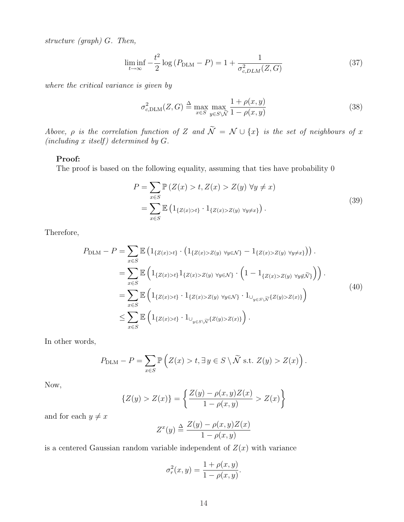structure (graph) G. Then,

$$
\liminf_{t \to \infty} -\frac{t^2}{2} \log (P_{\text{DLM}} - P) = 1 + \frac{1}{\sigma_{c,DLM}^2(Z, G)}
$$
(37)

where the critical variance is given by

$$
\sigma_{c,\text{DLM}}^2(Z,G) \triangleq \max_{x \in S} \max_{y \in S \setminus \tilde{N}} \frac{1 + \rho(x,y)}{1 - \rho(x,y)}
$$
(38)

Above,  $\rho$  is the correlation function of Z and  $\widetilde{\mathcal{N}} = \mathcal{N} \cup \{x\}$  is the set of neighbours of x (including  $x$  itself) determined by  $G$ .

#### Proof:

The proof is based on the following equality, assuming that ties have probability 0

$$
P = \sum_{x \in S} \mathbb{P} \left( Z(x) > t, Z(x) > Z(y) \; \forall y \neq x \right)
$$
\n
$$
= \sum_{x \in S} \mathbb{E} \left( 1_{\{Z(x) > t\}} \cdot 1_{\{Z(x) > Z(y) \; \forall y \neq x\}} \right). \tag{39}
$$

Therefore,

$$
P_{\text{DLM}} - P = \sum_{x \in S} \mathbb{E} \left( 1_{\{Z(x) > t\}} \cdot \left( 1_{\{Z(x) > Z(y) \ \forall y \in \mathcal{N}\}} - 1_{\{Z(x) > Z(y) \ \forall y \neq x\}} \right) \right) .
$$
  
\n
$$
= \sum_{x \in S} \mathbb{E} \left( 1_{\{Z(x) > t\}} 1_{\{Z(x) > Z(y) \ \forall y \in \mathcal{N}\}} \cdot \left( 1 - 1_{\{Z(x) > Z(y) \ \forall y \notin \tilde{\mathcal{N}}\}} \right) \right) .
$$
  
\n
$$
= \sum_{x \in S} \mathbb{E} \left( 1_{\{Z(x) > t\}} \cdot 1_{\{Z(x) > Z(y) \ \forall y \in \mathcal{N}\}} \cdot 1_{\bigcup_{y \in S \setminus \tilde{\mathcal{N}}}\{Z(y) > Z(x)\}} \right)
$$
  
\n
$$
\leq \sum_{x \in S} \mathbb{E} \left( 1_{\{Z(x) > t\}} \cdot 1_{\bigcup_{y \in S \setminus \tilde{\mathcal{N}}}\{Z(y) > Z(x)\}} \right).
$$
  
\n(40)

In other words,

$$
P_{\text{DLM}} - P = \sum_{x \in S} \mathbb{P}\left( Z(x) > t, \exists y \in S \setminus \widetilde{N} \text{ s.t. } Z(y) > Z(x) \right).
$$

Now,

$$
\{Z(y) > Z(x)\} = \left\{ \frac{Z(y) - \rho(x, y)Z(x)}{1 - \rho(x, y)} > Z(x) \right\}
$$

and for each  $y \neq x$ 

$$
Z^x(y) \stackrel{\Delta}{=} \frac{Z(y) - \rho(x, y)Z(x)}{1 - \rho(x, y)}
$$

is a centered Gaussian random variable independent of  $Z(x)$  with variance

$$
\sigma_r^2(x, y) = \frac{1 + \rho(x, y)}{1 - \rho(x, y)}.
$$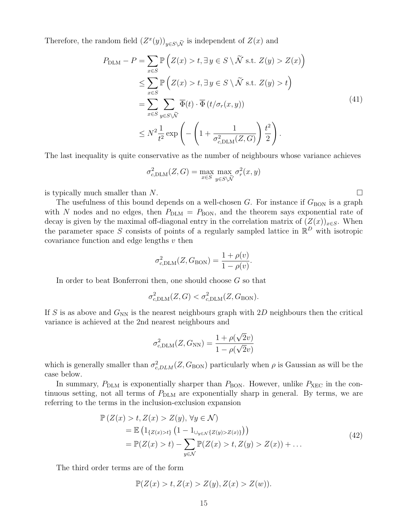Therefore, the random field  $(Z^x(y))_{y \in S \setminus \widetilde{\mathcal{N}}}$  is independent of  $Z(x)$  and

$$
P_{\text{DLM}} - P = \sum_{x \in S} \mathbb{P} \left( Z(x) > t, \exists y \in S \setminus \tilde{\mathcal{N}} \text{ s.t. } Z(y) > Z(x) \right)
$$
\n
$$
\leq \sum_{x \in S} \mathbb{P} \left( Z(x) > t, \exists y \in S \setminus \tilde{\mathcal{N}} \text{ s.t. } Z(y) > t \right)
$$
\n
$$
= \sum_{x \in S} \sum_{y \in S \setminus \tilde{\mathcal{N}}} \overline{\Phi}(t) \cdot \overline{\Phi}(t/\sigma_r(x, y))
$$
\n
$$
\leq N^2 \frac{1}{t^2} \exp \left( - \left( 1 + \frac{1}{\sigma_{c, \text{DLM}}^2(Z, G)} \right) \frac{t^2}{2} \right).
$$
\n
$$
(41)
$$

The last inequality is quite conservative as the number of neighbours whose variance achieves

$$
\sigma_{c,\text{DLM}}^2(Z,G) = \max_{x \in S} \max_{y \in S \backslash \tilde{\mathcal{N}}} \sigma_r^2(x,y)
$$

is typically much smaller than N.  $\Box$ 

The usefulness of this bound depends on a well-chosen  $G$ . For instance if  $G<sub>BON</sub>$  is a graph with N nodes and no edges, then  $P_{\text{DLM}} = P_{\text{BON}}$ , and the theorem says exponential rate of decay is given by the maximal off-diagonal entry in the correlation matrix of  $(Z(x))_{x\in S}$ . When the parameter space S consists of points of a regularly sampled lattice in  $\mathbb{R}^D$  with isotropic covariance function and edge lengths  $v$  then

$$
\sigma_{c,\text{DLM}}^2(Z, G_{\text{BON}}) = \frac{1 + \rho(v)}{1 - \rho(v)}.
$$

In order to beat Bonferroni then, one should choose G so that

$$
\sigma_{c,\text{DLM}}^2(Z,G) < \sigma_{c,\text{DLM}}^2(Z,G_{\text{BON}}).
$$

If S is as above and  $G_{NN}$  is the nearest neighbours graph with 2D neighbours then the critical variance is achieved at the 2nd nearest neighbours and

$$
\sigma_{c,\text{DLM}}^2(Z, G_{\text{NN}}) = \frac{1 + \rho(\sqrt{2}v)}{1 - \rho(\sqrt{2}v)}
$$

which is generally smaller than  $\sigma_{c,DLM}^2(Z, G_{\text{BON}})$  particularly when  $\rho$  is Gaussian as will be the case below.

In summary,  $P_{\text{DLM}}$  is exponentially sharper than  $P_{\text{BON}}$ . However, unlike  $P_{\text{XEC}}$  in the continuous setting, not all terms of  $P_{\text{DLM}}$  are exponentially sharp in general. By terms, we are referring to the terms in the inclusion-exclusion expansion

$$
\mathbb{P}\left(Z(x) > t, Z(x) > Z(y), \forall y \in \mathcal{N}\right)
$$
  
=  $\mathbb{E}\left(1_{\{Z(x) > t\}}\left(1 - 1_{\cup_{y \in \mathcal{N}}\{Z(y) > Z(x)\}}\right)\right)$   
=  $\mathbb{P}(Z(x) > t) - \sum_{y \in \mathcal{N}} \mathbb{P}(Z(x) > t, Z(y) > Z(x)) + ...$  (42)

The third order terms are of the form

$$
\mathbb{P}(Z(x) > t, Z(x) > Z(y), Z(x) > Z(w)).
$$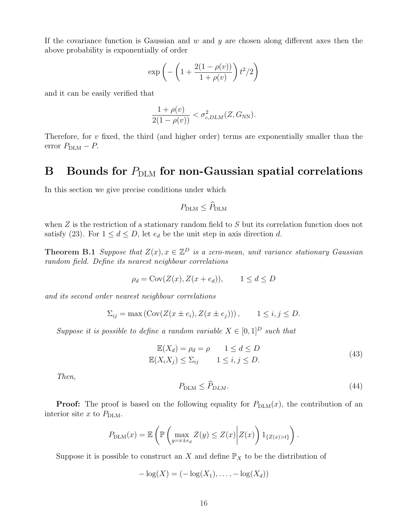If the covariance function is Gaussian and  $w$  and  $y$  are chosen along different axes then the above probability is exponentially of order

$$
\exp\left(-\left(1+\frac{2(1-\rho(v))}{1+\rho(v)}\right)t^2/2\right)
$$

and it can be easily verified that

$$
\frac{1+\rho(v)}{2(1-\rho(v))} < \sigma_{c,DLM}^2(Z, G_{\text{NN}}).
$$

Therefore, for  $v$  fixed, the third (and higher order) terms are exponentially smaller than the error  $P_{\text{DLM}} - P$ .

#### B Bounds for  $P_{\text{DLM}}$  for non-Gaussian spatial correlations

In this section we give precise conditions under which

$$
P_{\rm DLM} \leq \widehat{P}_{\rm DLM}
$$

when  $Z$  is the restriction of a stationary random field to  $S$  but its correlation function does not satisfy (23). For  $1 \leq d \leq D$ , let  $e_d$  be the unit step in axis direction d.

**Theorem B.1** Suppose that  $Z(x)$ ,  $x \in \mathbb{Z}^D$  is a zero-mean, unit variance stationary Gaussian random field. Define its nearest neighbour correlations

$$
\rho_d = \text{Cov}(Z(x), Z(x + e_d)), \qquad 1 \le d \le D
$$

and its second order nearest neighbour correlations

$$
\Sigma_{ij} = \max\left(\text{Cov}(Z(x \pm e_i), Z(x \pm e_j))\right), \qquad 1 \le i, j \le D.
$$

Suppose it is possible to define a random variable  $X \in [0,1]^D$  such that

$$
\mathbb{E}(X_d) = \rho_d = \rho \qquad 1 \le d \le D
$$
  

$$
\mathbb{E}(X_i X_j) \le \Sigma_{ij} \qquad 1 \le i, j \le D.
$$
 (43)

Then,

$$
P_{\text{DLM}} \le \widehat{P}_{\text{DLM}}.\tag{44}
$$

.

**Proof:** The proof is based on the following equality for  $P_{\text{DLM}}(x)$ , the contribution of an interior site  $x$  to  $P_{\text{DLM}}$ .

$$
P_{\text{DLM}}(x) = \mathbb{E}\left(\mathbb{P}\left(\max_{y=x \pm e_d} Z(y) \leq Z(x) \middle| Z(x)\right) 1_{\{Z(x) > t\}}\right)
$$

Suppose it is possible to construct an X and define  $\mathbb{P}_X$  to be the distribution of

$$
-\log(X) = (-\log(X_1), \ldots, -\log(X_d))
$$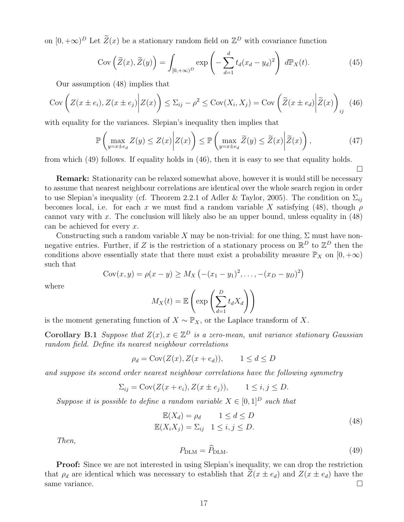on  $[0, +\infty)^D$  Let  $\widetilde{Z}(x)$  be a stationary random field on  $\mathbb{Z}^D$  with covariance function

$$
Cov\left(\widetilde{Z}(x), \widetilde{Z}(y)\right) = \int_{[0, +\infty)^D} exp\left(-\sum_{d=1}^d t_d (x_d - y_d)^2\right) d\mathbb{P}_X(t).
$$
 (45)

Our assumption (48) implies that

$$
Cov\left(Z(x \pm e_i), Z(x \pm e_j) \middle| Z(x)\right) \le \Sigma_{ij} - \rho^2 \le Cov(X_i, X_j) = Cov\left(\widetilde{Z}(x \pm e_d) \middle| \widetilde{Z}(x)\right)_{ij} \tag{46}
$$

with equality for the variances. Slepian's inequality then implies that

$$
\mathbb{P}\left(\max_{y=x\pm e_d} Z(y) \le Z(x) \middle| Z(x)\right) \le \mathbb{P}\left(\max_{y=x\pm e_d} \widetilde{Z}(y) \le \widetilde{Z}(x) \middle| \widetilde{Z}(x)\right),\tag{47}
$$

from which (49) follows. If equality holds in (46), then it is easy to see that equality holds.

¤

Remark: Stationarity can be relaxed somewhat above, however it is would still be necessary to assume that nearest neighbour correlations are identical over the whole search region in order to use Slepian's inequality (cf. Theorem 2.2.1 of Adler & Taylor, 2005). The condition on  $\Sigma_{ij}$ becomes local, i.e. for each x we must find a random variable X satisfying (48), though  $\rho$ cannot vary with  $x$ . The conclusion will likely also be an upper bound, unless equality in  $(48)$ can be achieved for every x.

Constructing such a random variable X may be non-trivial: for one thing,  $\Sigma$  must have nonnegative entries. Further, if Z is the restriction of a stationary process on  $\mathbb{R}^D$  to  $\mathbb{Z}^D$  then the conditions above essentially state that there must exist a probability measure  $\mathbb{P}_X$  on  $[0, +\infty)$ such that ¡ ¢

$$
Cov(x, y) = \rho(x - y) \ge M_X(-(x_1 - y_1)^2, \dots, -(x_D - y_D)^2)
$$

where

$$
M_X(t) = \mathbb{E}\left(\exp\left(\sum_{d=1}^D t_d X_d\right)\right)
$$

is the moment generating function of  $X \sim \mathbb{P}_X$ , or the Laplace transform of X.

**Corollary B.1** Suppose that  $Z(x), x \in \mathbb{Z}^D$  is a zero-mean, unit variance stationary Gaussian random field. Define its nearest neighbour correlations

$$
\rho_d = \text{Cov}(Z(x), Z(x + e_d)), \qquad 1 \le d \le D
$$

and suppose its second order nearest neighbour correlations have the following symmetry

$$
\Sigma_{ij} = \text{Cov}(Z(x + e_i), Z(x \pm e_j)), \qquad 1 \le i, j \le D.
$$

Suppose it is possible to define a random variable  $X \in [0,1]^D$  such that

$$
\mathbb{E}(X_d) = \rho_d \qquad 1 \le d \le D
$$
  

$$
\mathbb{E}(X_i X_j) = \Sigma_{ij} \quad 1 \le i, j \le D.
$$
 (48)

Then,

$$
P_{\text{DLM}} = \hat{P}_{\text{DLM}}.\tag{49}
$$

Proof: Since we are not interested in using Slepian's inequality, we can drop the restriction that  $\rho_d$  are identical which was necessary to establish that  $Z(x \pm e_d)$  and  $Z(x \pm e_d)$  have the same variance.  $\Box$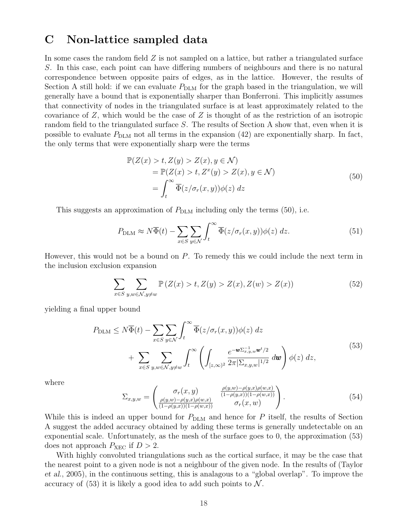#### C Non-lattice sampled data

In some cases the random field  $Z$  is not sampled on a lattice, but rather a triangulated surface S. In this case, each point can have differing numbers of neighbours and there is no natural correspondence between opposite pairs of edges, as in the lattice. However, the results of Section A still hold: if we can evaluate  $P_{\text{DLM}}$  for the graph based in the triangulation, we will generally have a bound that is exponentially sharper than Bonferroni. This implicitly assumes that connectivity of nodes in the triangulated surface is at least approximately related to the covariance of  $Z$ , which would be the case of  $Z$  is thought of as the restriction of an isotropic random field to the triangulated surface S. The results of Section A show that, even when it is possible to evaluate  $P_{\text{DLM}}$  not all terms in the expansion (42) are exponentially sharp. In fact, the only terms that were exponentially sharp were the terms

$$
\mathbb{P}(Z(x) > t, Z(y) > Z(x), y \in \mathcal{N})
$$
\n
$$
= \mathbb{P}(Z(x) > t, Z^x(y) > Z(x), y \in \mathcal{N})
$$
\n
$$
= \int_t^\infty \overline{\Phi}(z/\sigma_r(x, y)) \phi(z) \, dz \tag{50}
$$

This suggests an approximation of  $P_{\text{DLM}}$  including only the terms (50), i.e.

$$
P_{\text{DLM}} \approx N\overline{\Phi}(t) - \sum_{x \in S} \sum_{y \in \mathcal{N}} \int_t^{\infty} \overline{\Phi}(z/\sigma_r(x, y)) \phi(z) \, dz. \tag{51}
$$

However, this would not be a bound on P. To remedy this we could include the next term in the inclusion exclusion expansion

$$
\sum_{x \in S} \sum_{y,w \in \mathcal{N}, y \neq w} \mathbb{P}\left(Z(x) > t, Z(y) > Z(x), Z(w) > Z(x)\right) \tag{52}
$$

yielding a final upper bound

$$
P_{\text{DLM}} \leq N\overline{\Phi}(t) - \sum_{x \in S} \sum_{y \in \mathcal{N}} \int_{t}^{\infty} \overline{\Phi}(z/\sigma_r(x, y)) \phi(z) dz + \sum_{x \in S} \sum_{y, w \in \mathcal{N}, y \neq w} \int_{t}^{\infty} \left( \int_{[z,\infty)^2} \frac{e^{-\mathbf{w} \Sigma_{x,y,w}^{-1} \mathbf{w}^t/2}}{2\pi |\Sigma_{x,y,w}|^{1/2}} d\mathbf{w} \right) \phi(z) dz,
$$
\n
$$
(53)
$$

where

$$
\Sigma_{x,y,w} = \begin{pmatrix}\n\sigma_r(x,y) & \frac{\rho(y,w) - \rho(y,x)\rho(w,x)}{(1-\rho(y,x))(1-\rho(w,x))} \\
\frac{\rho(y,w) - \rho(y,x)\rho(w,x)}{(1-\rho(y,x))(1-\rho(w,x))} & \sigma_r(x,w)\n\end{pmatrix}.
$$
\n(54)

While this is indeed an upper bound for  $P_{\text{DLM}}$  and hence for P itself, the results of Section A suggest the added accuracy obtained by adding these terms is generally undetectable on an exponential scale. Unfortunately, as the mesh of the surface goes to 0, the approximation (53) does not approach  $P_{\text{XEC}}$  if  $D > 2$ .

With highly convoluted triangulations such as the cortical surface, it may be the case that the nearest point to a given node is not a neighbour of the given node. In the results of (Taylor et al., 2005), in the continuous setting, this is analagous to a "global overlap". To improve the accuracy of  $(53)$  it is likely a good idea to add such points to N.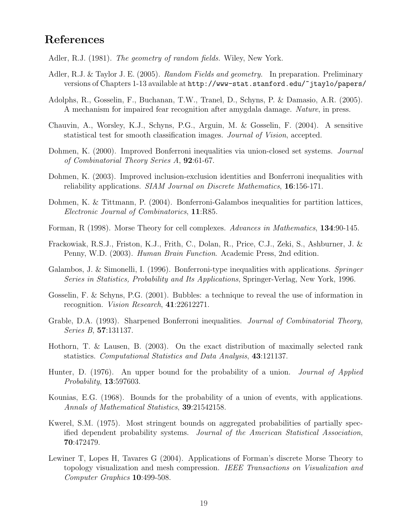#### References

Adler, R.J. (1981). *The geometry of random fields*. Wiley, New York.

- Adler, R.J. & Taylor J. E. (2005). *Random Fields and geometry.* In preparation. Preliminary versions of Chapters 1-13 available at http://www-stat.stanford.edu/~jtaylo/papers/
- Adolphs, R., Gosselin, F., Buchanan, T.W., Tranel, D., Schyns, P. & Damasio, A.R. (2005). A mechanism for impaired fear recognition after amygdala damage. Nature, in press.
- Chauvin, A., Worsley, K.J., Schyns, P.G., Arguin, M. & Gosselin, F. (2004). A sensitive statistical test for smooth classification images. Journal of Vision, accepted.
- Dohmen, K. (2000). Improved Bonferroni inequalities via union-closed set systems. *Journal* of Combinatorial Theory Series A, 92:61-67.
- Dohmen, K. (2003). Improved inclusion-exclusion identities and Bonferroni inequalities with reliability applications. SIAM Journal on Discrete Mathematics, 16:156-171.
- Dohmen, K. & Tittmann, P. (2004). Bonferroni-Galambos inequalities for partition lattices, Electronic Journal of Combinatorics, 11:R85.
- Forman, R (1998). Morse Theory for cell complexes. Advances in Mathematics, 134:90-145.
- Frackowiak, R.S.J., Friston, K.J., Frith, C., Dolan, R., Price, C.J., Zeki, S., Ashburner, J. & Penny, W.D. (2003). Human Brain Function. Academic Press, 2nd edition.
- Galambos, J. & Simonelli, I. (1996). Bonferroni-type inequalities with applications. Springer Series in Statistics, Probability and Its Applications, Springer-Verlag, New York, 1996.
- Gosselin, F. & Schyns, P.G. (2001). Bubbles: a technique to reveal the use of information in recognition. Vision Research, 41:22612271.
- Grable, D.A. (1993). Sharpened Bonferroni inequalities. *Journal of Combinatorial Theory*, Series B, 57:131137.
- Hothorn, T. & Lausen, B. (2003). On the exact distribution of maximally selected rank statistics. Computational Statistics and Data Analysis, 43:121137.
- Hunter, D. (1976). An upper bound for the probability of a union. *Journal of Applied* Probability, 13:597603.
- Kounias, E.G. (1968). Bounds for the probability of a union of events, with applications. Annals of Mathematical Statistics, 39:21542158.
- Kwerel, S.M. (1975). Most stringent bounds on aggregated probabilities of partially specified dependent probability systems. Journal of the American Statistical Association, 70:472479.
- Lewiner T, Lopes H, Tavares G (2004). Applications of Forman's discrete Morse Theory to topology visualization and mesh compression. IEEE Transactions on Visualization and Computer Graphics 10:499-508.